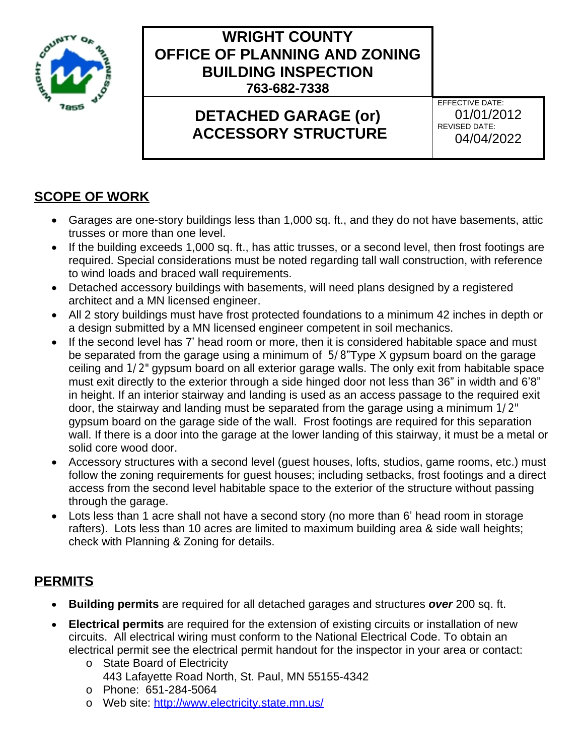

## **WRIGHT COUNTY OFFICE OF PLANNING AND ZONING BUILDING INSPECTION 763-682-7338**

# **DETACHED GARAGE (or) ACCESSORY STRUCTURE**

EFFECTIVE DATE: 01/01/2012 REVISED DATE: 04/04/2022

## **SCOPE OF WORK**

- Garages are one-story buildings less than 1,000 sq. ft., and they do not have basements, attic trusses or more than one level.
- If the building exceeds 1,000 sq. ft., has attic trusses, or a second level, then frost footings are required. Special considerations must be noted regarding tall wall construction, with reference to wind loads and braced wall requirements.
- Detached accessory buildings with basements, will need plans designed by a registered architect and a MN licensed engineer.
- All 2 story buildings must have frost protected foundations to a minimum 42 inches in depth or a design submitted by a MN licensed engineer competent in soil mechanics.
- If the second level has 7' head room or more, then it is considered habitable space and must be separated from the garage using a minimum of 5/8"Type X gypsum board on the garage ceiling and 1/2" gypsum board on all exterior garage walls. The only exit from habitable space must exit directly to the exterior through a side hinged door not less than 36" in width and 6'8" in height. If an interior stairway and landing is used as an access passage to the required exit door, the stairway and landing must be separated from the garage using a minimum 1/2" gypsum board on the garage side of the wall. Frost footings are required for this separation wall. If there is a door into the garage at the lower landing of this stairway, it must be a metal or solid core wood door.
- Accessory structures with a second level (guest houses, lofts, studios, game rooms, etc.) must follow the zoning requirements for guest houses; including setbacks, frost footings and a direct access from the second level habitable space to the exterior of the structure without passing through the garage.
- Lots less than 1 acre shall not have a second story (no more than 6' head room in storage rafters). Lots less than 10 acres are limited to maximum building area & side wall heights; check with Planning & Zoning for details.

#### **PERMITS**

- **Building permits** are required for all detached garages and structures *over* 200 sq. ft.
- **Electrical permits** are required for the extension of existing circuits or installation of new circuits. All electrical wiring must conform to the National Electrical Code. To obtain an electrical permit see the electrical permit handout for the inspector in your area or contact:
	- o State Board of Electricity 443 Lafayette Road North, St. Paul, MN 55155-4342
	- o Phone: 651-284-5064
	- o Web site:<http://www.electricity.state.mn.us/>